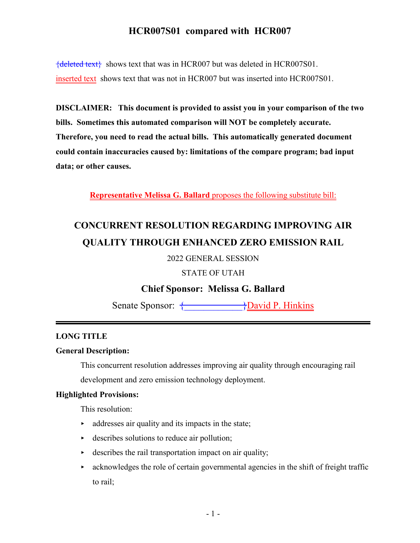${deleted text}$  shows text that was in HCR007 but was deleted in HCR007S01. inserted text shows text that was not in HCR007 but was inserted into HCR007S01.

**DISCLAIMER: This document is provided to assist you in your comparison of the two bills. Sometimes this automated comparison will NOT be completely accurate. Therefore, you need to read the actual bills. This automatically generated document could contain inaccuracies caused by: limitations of the compare program; bad input data; or other causes.**

**Representative Melissa G. Ballard** proposes the following substitute bill:

# **CONCURRENT RESOLUTION REGARDING IMPROVING AIR QUALITY THROUGH ENHANCED ZERO EMISSION RAIL**

2022 GENERAL SESSION

STATE OF UTAH

**Chief Sponsor: Melissa G. Ballard**

Senate Sponsor:  $\overbrace{\}$ David P. Hinkins

#### **LONG TITLE**

#### **General Description:**

This concurrent resolution addresses improving air quality through encouraging rail

development and zero emission technology deployment.

#### **Highlighted Provisions:**

This resolution:

- $\rightarrow$  addresses air quality and its impacts in the state;
- $\rightarrow$  describes solutions to reduce air pollution;
- $\rightarrow$  describes the rail transportation impact on air quality;
- $\triangleright$  acknowledges the role of certain governmental agencies in the shift of freight traffic to rail;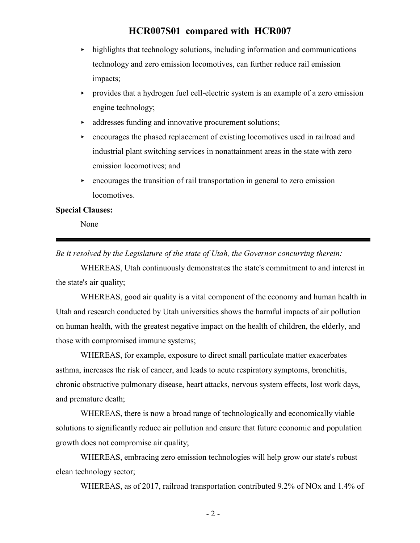- $\blacktriangleright$  highlights that technology solutions, including information and communications technology and zero emission locomotives, can further reduce rail emission impacts;
- < provides that a hydrogen fuel cell-electric system is an example of a zero emission engine technology;
- $\triangleright$  addresses funding and innovative procurement solutions;
- $\rightarrow$  encourages the phased replacement of existing locomotives used in railroad and industrial plant switching services in nonattainment areas in the state with zero emission locomotives; and
- $\rightarrow$  encourages the transition of rail transportation in general to zero emission locomotives.

#### **Special Clauses:**

None

*Be it resolved by the Legislature of the state of Utah, the Governor concurring therein:*

WHEREAS, Utah continuously demonstrates the state's commitment to and interest in the state's air quality;

WHEREAS, good air quality is a vital component of the economy and human health in Utah and research conducted by Utah universities shows the harmful impacts of air pollution on human health, with the greatest negative impact on the health of children, the elderly, and those with compromised immune systems;

WHEREAS, for example, exposure to direct small particulate matter exacerbates asthma, increases the risk of cancer, and leads to acute respiratory symptoms, bronchitis, chronic obstructive pulmonary disease, heart attacks, nervous system effects, lost work days, and premature death;

WHEREAS, there is now a broad range of technologically and economically viable solutions to significantly reduce air pollution and ensure that future economic and population growth does not compromise air quality;

WHEREAS, embracing zero emission technologies will help grow our state's robust clean technology sector;

WHEREAS, as of 2017, railroad transportation contributed 9.2% of NOx and 1.4% of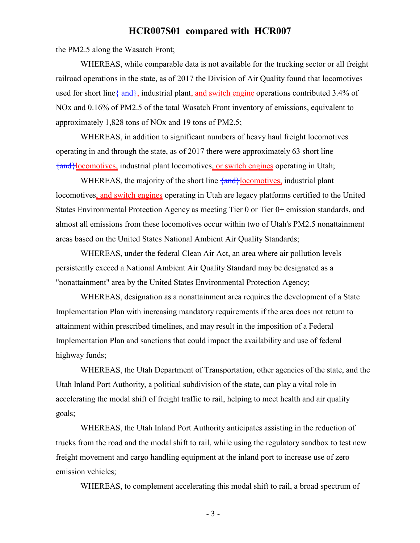the PM2.5 along the Wasatch Front;

WHEREAS, while comparable data is not available for the trucking sector or all freight railroad operations in the state, as of 2017 the Division of Air Quality found that locomotives used for short line  $\{\text{and}\}$ , industrial plant, and switch engine operations contributed 3.4% of NOx and 0.16% of PM2.5 of the total Wasatch Front inventory of emissions, equivalent to approximately 1,828 tons of NOx and 19 tons of PM2.5;

WHEREAS, in addition to significant numbers of heavy haul freight locomotives operating in and through the state, as of 2017 there were approximately 63 short line {and}locomotives, industrial plant locomotives, or switch engines operating in Utah;

WHEREAS, the majority of the short line  $\frac{1}{2}$  and  $\frac{1}{2}$  comotives, industrial plant locomotives, and switch engines operating in Utah are legacy platforms certified to the United States Environmental Protection Agency as meeting Tier 0 or Tier 0+ emission standards, and almost all emissions from these locomotives occur within two of Utah's PM2.5 nonattainment areas based on the United States National Ambient Air Quality Standards;

WHEREAS, under the federal Clean Air Act, an area where air pollution levels persistently exceed a National Ambient Air Quality Standard may be designated as a "nonattainment" area by the United States Environmental Protection Agency;

WHEREAS, designation as a nonattainment area requires the development of a State Implementation Plan with increasing mandatory requirements if the area does not return to attainment within prescribed timelines, and may result in the imposition of a Federal Implementation Plan and sanctions that could impact the availability and use of federal highway funds;

WHEREAS, the Utah Department of Transportation, other agencies of the state, and the Utah Inland Port Authority, a political subdivision of the state, can play a vital role in accelerating the modal shift of freight traffic to rail, helping to meet health and air quality goals;

WHEREAS, the Utah Inland Port Authority anticipates assisting in the reduction of trucks from the road and the modal shift to rail, while using the regulatory sandbox to test new freight movement and cargo handling equipment at the inland port to increase use of zero emission vehicles;

WHEREAS, to complement accelerating this modal shift to rail, a broad spectrum of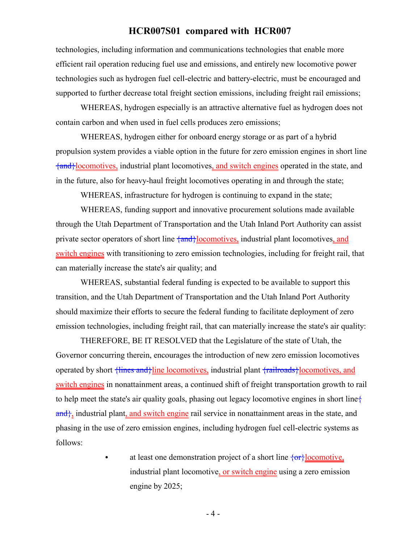technologies, including information and communications technologies that enable more efficient rail operation reducing fuel use and emissions, and entirely new locomotive power technologies such as hydrogen fuel cell-electric and battery-electric, must be encouraged and supported to further decrease total freight section emissions, including freight rail emissions;

WHEREAS, hydrogen especially is an attractive alternative fuel as hydrogen does not contain carbon and when used in fuel cells produces zero emissions;

WHEREAS, hydrogen either for onboard energy storage or as part of a hybrid propulsion system provides a viable option in the future for zero emission engines in short line {and}locomotives, industrial plant locomotives, and switch engines operated in the state, and in the future, also for heavy-haul freight locomotives operating in and through the state;

WHEREAS, infrastructure for hydrogen is continuing to expand in the state;

WHEREAS, funding support and innovative procurement solutions made available through the Utah Department of Transportation and the Utah Inland Port Authority can assist private sector operators of short line  $\{\text{and}\}$ locomotives, industrial plant locomotives, and switch engines with transitioning to zero emission technologies, including for freight rail, that can materially increase the state's air quality; and

WHEREAS, substantial federal funding is expected to be available to support this transition, and the Utah Department of Transportation and the Utah Inland Port Authority should maximize their efforts to secure the federal funding to facilitate deployment of zero emission technologies, including freight rail, that can materially increase the state's air quality:

THEREFORE, BE IT RESOLVED that the Legislature of the state of Utah, the Governor concurring therein, encourages the introduction of new zero emission locomotives operated by short  $\frac{1}{\text{lines and}}\text{line locomotives,}$  industrial plant  $\frac{1}{\text{realroads}}$ locomotives, and switch engines in nonattainment areas, a continued shift of freight transportation growth to rail to help meet the state's air quality goals, phasing out legacy locomotive engines in short line{ and, industrial plant, and switch engine rail service in nonattainment areas in the state, and phasing in the use of zero emission engines, including hydrogen fuel cell-electric systems as follows:

> $\bullet$  at least one demonstration project of a short line  $\{or\}$ locomotive, industrial plant locomotive, or switch engine using a zero emission engine by 2025;

> > - 4 -